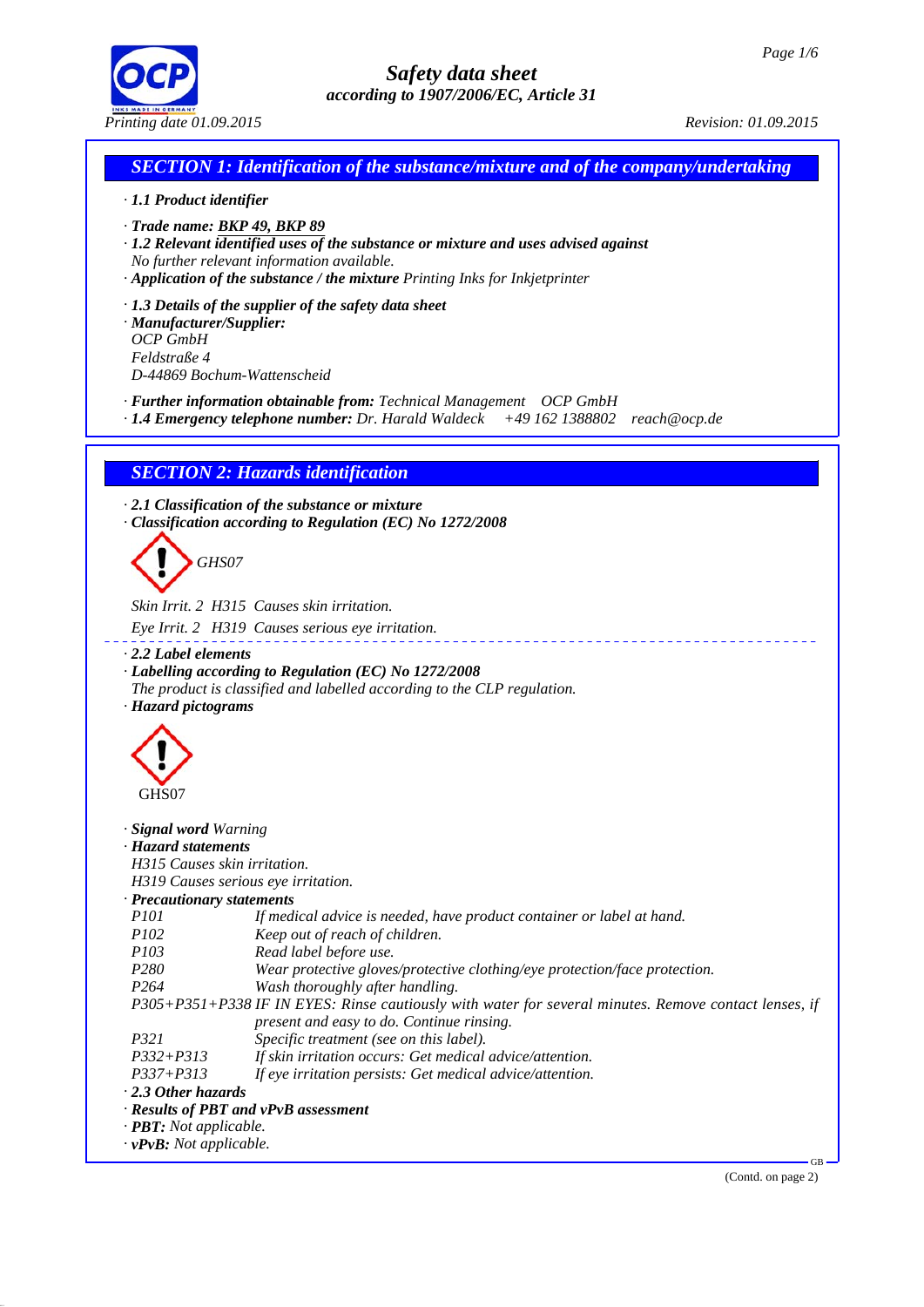

## *SECTION 1: Identification of the substance/mixture and of the company/undertaking*

#### *· 1.1 Product identifier*

- *· Trade name: BKP 49, BKP 89*
- *· 1.2 Relevant identified uses of the substance or mixture and uses advised against No further relevant information available.*
- *· Application of the substance / the mixture Printing Inks for Inkjetprinter*

*· 1.3 Details of the supplier of the safety data sheet*

*· Manufacturer/Supplier: OCP GmbH Feldstraße 4 D-44869 Bochum-Wattenscheid*

*· Further information obtainable from: Technical Management OCP GmbH*

*· 1.4 Emergency telephone number: Dr. Harald Waldeck +49 162 1388802 reach@ocp.de*

## *SECTION 2: Hazards identification*

*· 2.1 Classification of the substance or mixture · Classification according to Regulation (EC) No 1272/2008*

# *GHS07*

*Skin Irrit. 2 H315 Causes skin irritation.*

- *Eye Irrit. 2 H319 Causes serious eye irritation.*
- *· 2.2 Label elements*
- *· Labelling according to Regulation (EC) No 1272/2008*
- *The product is classified and labelled according to the CLP regulation. · Hazard pictograms*



| · <b>Signal word</b> Warning         |                                                                                                       |
|--------------------------------------|-------------------------------------------------------------------------------------------------------|
| · Hazard statements                  |                                                                                                       |
| H315 Causes skin irritation.         |                                                                                                       |
|                                      | H319 Causes serious eye irritation.                                                                   |
| · Precautionary statements           |                                                                                                       |
| <i>P101</i>                          | If medical advice is needed, have product container or label at hand.                                 |
| <i>P102</i>                          | Keep out of reach of children.                                                                        |
| <i>P103</i>                          | Read label before use.                                                                                |
| P <sub>280</sub>                     | Wear protective gloves/protective clothing/eye protection/face protection.                            |
| P264                                 | Wash thoroughly after handling.                                                                       |
|                                      | P305+P351+P338 IF IN EYES: Rinse cautiously with water for several minutes. Remove contact lenses, if |
|                                      | present and easy to do. Continue rinsing.                                                             |
| P321                                 | Specific treatment (see on this label).                                                               |
| $P332 + P313$                        | If skin irritation occurs: Get medical advice/attention.                                              |
| $P337 + P313$                        | If eye irritation persists: Get medical advice/attention.                                             |
| $\cdot$ 2.3 Other hazards            |                                                                                                       |
|                                      | $\cdot$ Results of PBT and vPvB assessment                                                            |
| $\cdot$ <b>PBT:</b> Not applicable.  |                                                                                                       |
| $\cdot$ <b>vPvB:</b> Not applicable. |                                                                                                       |

(Contd. on page 2)

GB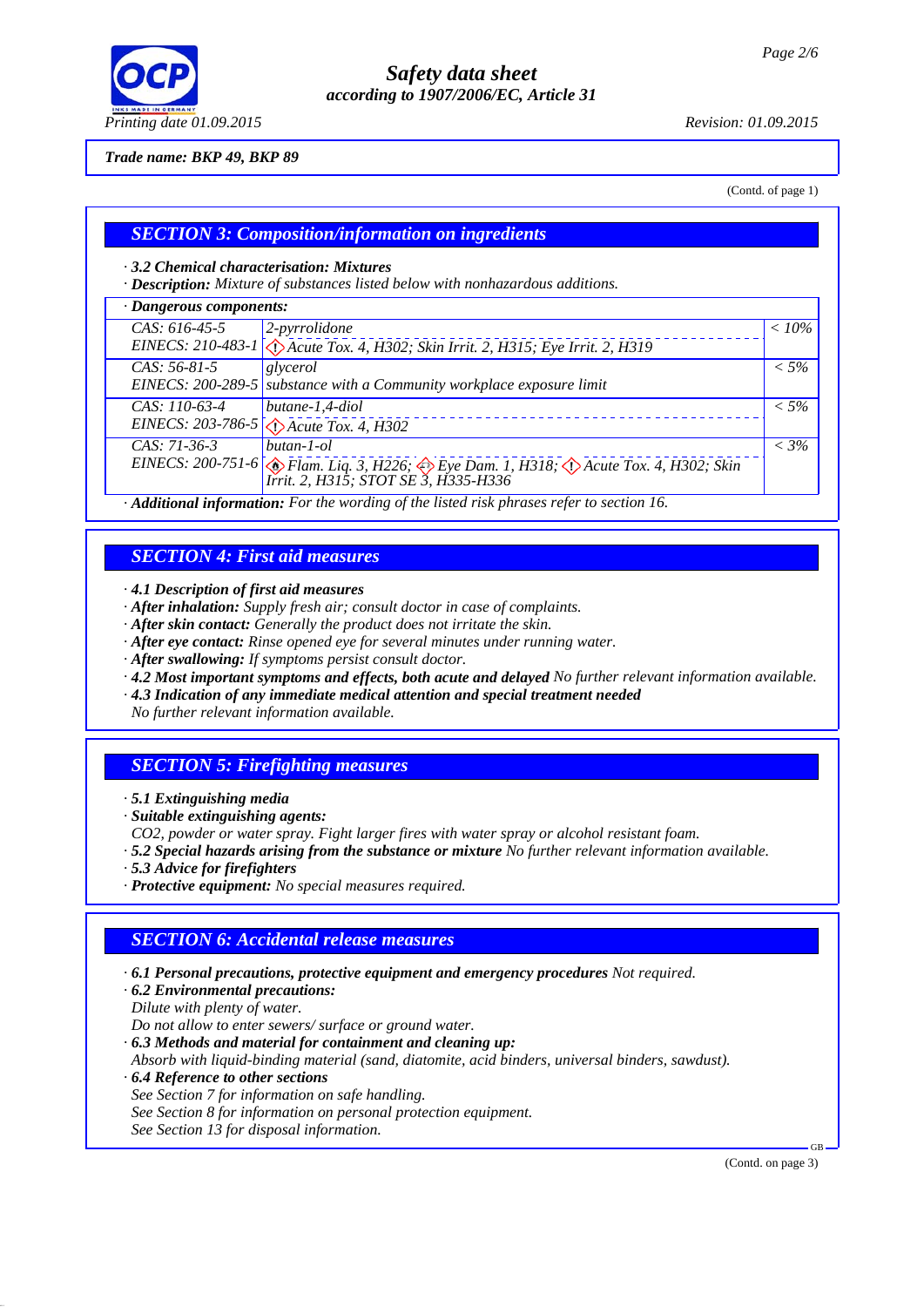

#### *Trade name: BKP 49, BKP 89*

(Contd. of page 1)

## *SECTION 3: Composition/information on ingredients*

#### *· 3.2 Chemical characterisation: Mixtures*

*· Description: Mixture of substances listed below with nonhazardous additions.*

| · Dangerous components:                             |                                                                                                                                 |          |  |
|-----------------------------------------------------|---------------------------------------------------------------------------------------------------------------------------------|----------|--|
| CAS: 616-45-5                                       | $2$ -pyrrolidone                                                                                                                | $< 10\%$ |  |
|                                                     | EINECS: 210-483-1 < <a>(<a> </a> Acute Tox. 4, H302; Skin Irrit. 2, H315; Eye Irrit. 2, H319</a>                                |          |  |
| $CAS: 56-81-5$                                      | glycerol                                                                                                                        | $< 5\%$  |  |
|                                                     | EINECS: 200-289-5 substance with a Community workplace exposure limit                                                           |          |  |
| CAS: 110-63-4                                       | butane-1,4-diol                                                                                                                 | $< 5\%$  |  |
|                                                     | EINECS: 203-786-5 $\bigotimes$ Acute Tox. 4, H302                                                                               |          |  |
| $CAS: 71-36-3$                                      | butan-1-ol                                                                                                                      | $<$ 3%   |  |
|                                                     | EINECS: 200-751-6<br>Flam. Liq. 3, H226; Sim Eye Dam. 1, H318; Naute Tox. 4, H302; Skin<br>Irrit. 2, H315; STOT SE 3, H335-H336 |          |  |
| $\mathbf{1}$ $\mathbf{1}$ $\mathbf{1}$ $\mathbf{1}$ | $\mathbf{r}$ , and $\mathbf{r}$ , and $\mathbf{r}$ , and $\mathbf{r}$ , and $\mathbf{r}$<br>$\sim$ $\sim$ $\sim$ $\sim$         |          |  |

*· Additional information: For the wording of the listed risk phrases refer to section 16.*

#### *SECTION 4: First aid measures*

*· 4.1 Description of first aid measures*

- *· After inhalation: Supply fresh air; consult doctor in case of complaints.*
- *· After skin contact: Generally the product does not irritate the skin.*
- *· After eye contact: Rinse opened eye for several minutes under running water.*
- *· After swallowing: If symptoms persist consult doctor.*
- *· 4.2 Most important symptoms and effects, both acute and delayed No further relevant information available.*
- *· 4.3 Indication of any immediate medical attention and special treatment needed*

*No further relevant information available.*

## *SECTION 5: Firefighting measures*

- *· 5.1 Extinguishing media*
- *· Suitable extinguishing agents:*
- *CO2, powder or water spray. Fight larger fires with water spray or alcohol resistant foam.*
- *· 5.2 Special hazards arising from the substance or mixture No further relevant information available.*
- *· 5.3 Advice for firefighters*
- *· Protective equipment: No special measures required.*

## *SECTION 6: Accidental release measures*

- *· 6.1 Personal precautions, protective equipment and emergency procedures Not required.*
- *· 6.2 Environmental precautions: Dilute with plenty of water.*

*Do not allow to enter sewers/ surface or ground water.*

*· 6.3 Methods and material for containment and cleaning up:*

*Absorb with liquid-binding material (sand, diatomite, acid binders, universal binders, sawdust).*

- *· 6.4 Reference to other sections*
- *See Section 7 for information on safe handling.*
- *See Section 8 for information on personal protection equipment.*
- *See Section 13 for disposal information.*

(Contd. on page 3)

GB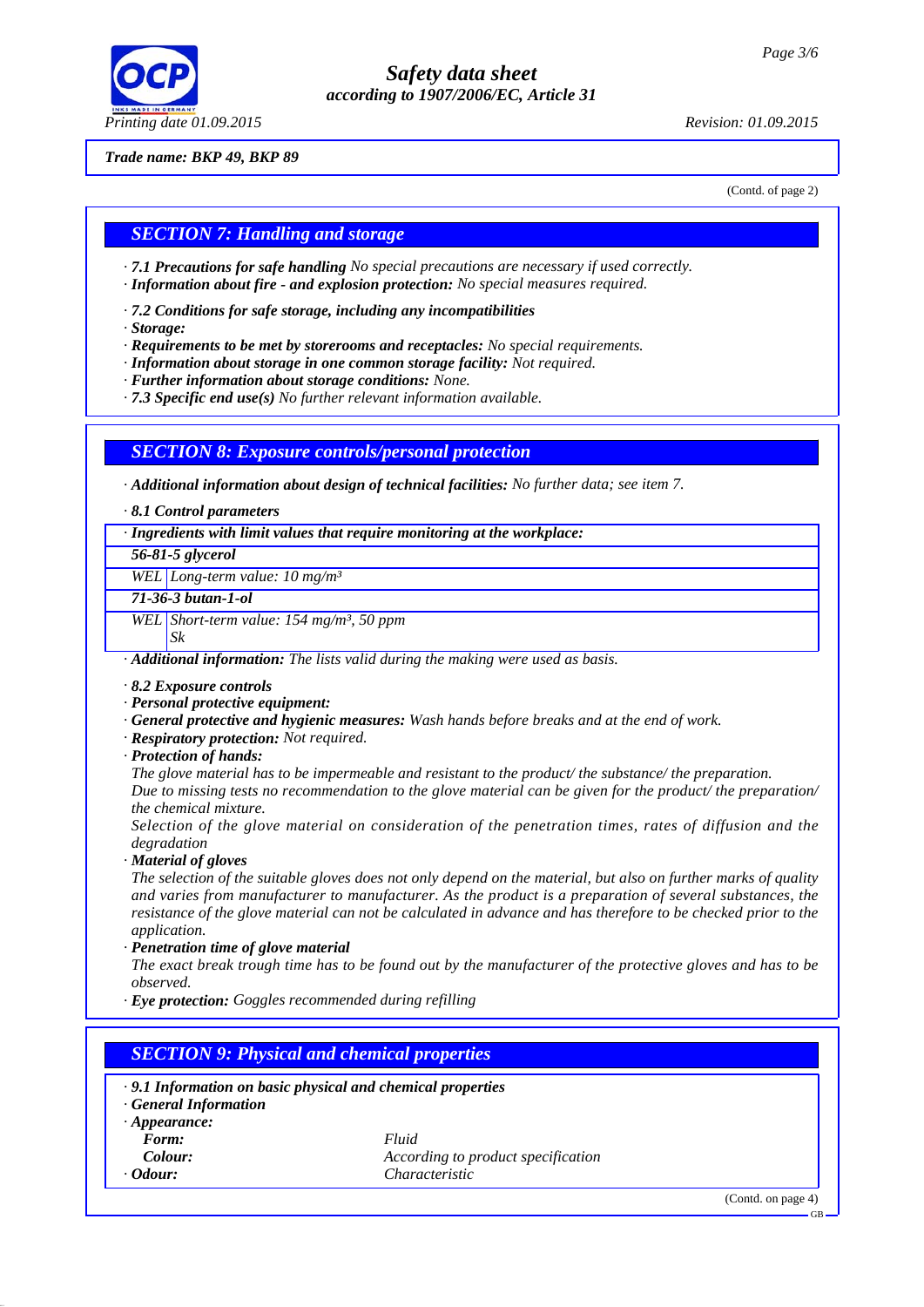

#### *Trade name: BKP 49, BKP 89*

(Contd. of page 2)

#### *SECTION 7: Handling and storage*

*· 7.1 Precautions for safe handling No special precautions are necessary if used correctly.*

- *· Information about fire and explosion protection: No special measures required.*
- *· 7.2 Conditions for safe storage, including any incompatibilities*
- *· Storage:*
- *· Requirements to be met by storerooms and receptacles: No special requirements.*
- *· Information about storage in one common storage facility: Not required.*
- *· Further information about storage conditions: None.*
- *· 7.3 Specific end use(s) No further relevant information available.*

#### *SECTION 8: Exposure controls/personal protection*

*· Additional information about design of technical facilities: No further data; see item 7.*

*· 8.1 Control parameters*

*· Ingredients with limit values that require monitoring at the workplace:*

*56-81-5 glycerol*

*WEL Long-term value: 10 mg/m³*

*71-36-3 butan-1-ol*

*WEL Short-term value: 154 mg/m³, 50 ppm*

*Sk*

*· Additional information: The lists valid during the making were used as basis.*

- *· 8.2 Exposure controls*
- *· Personal protective equipment:*
- *· General protective and hygienic measures: Wash hands before breaks and at the end of work.*
- *· Respiratory protection: Not required.*
- *· Protection of hands:*

*The glove material has to be impermeable and resistant to the product/ the substance/ the preparation. Due to missing tests no recommendation to the glove material can be given for the product/ the preparation/ the chemical mixture.*

*Selection of the glove material on consideration of the penetration times, rates of diffusion and the degradation*

*· Material of gloves*

*The selection of the suitable gloves does not only depend on the material, but also on further marks of quality and varies from manufacturer to manufacturer. As the product is a preparation of several substances, the resistance of the glove material can not be calculated in advance and has therefore to be checked prior to the application.*

*· Penetration time of glove material*

*The exact break trough time has to be found out by the manufacturer of the protective gloves and has to be observed.*

*· Eye protection: Goggles recommended during refilling*

## *SECTION 9: Physical and chemical properties*

*· 9.1 Information on basic physical and chemical properties · General Information · Appearance: Form: Fluid Colour: According to product specification · Odour: Characteristic*

(Contd. on page 4)

GB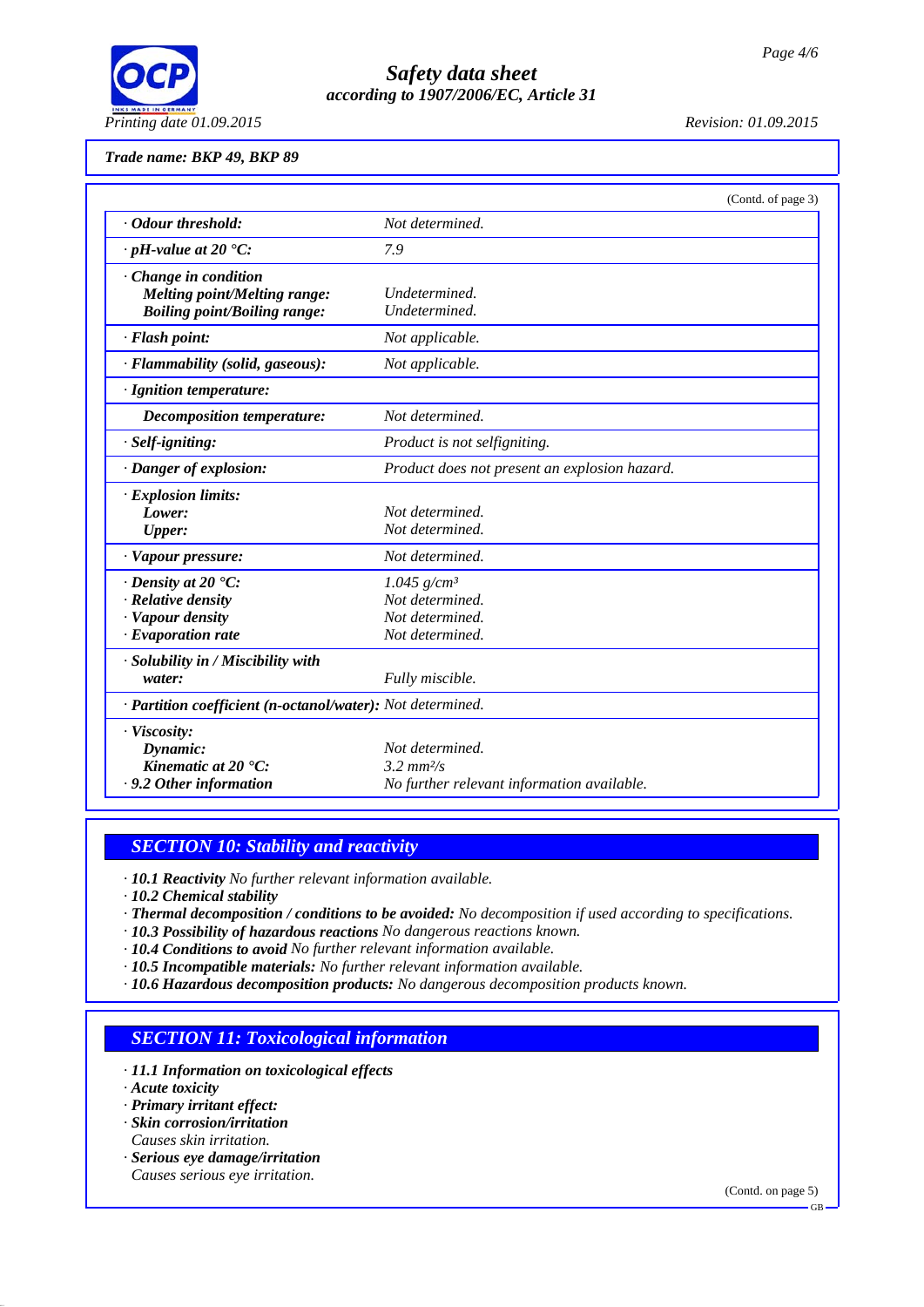

#### *Trade name: BKP 49, BKP 89*

|                                                                                                              | (Contd. of page 3)                                                                             |  |
|--------------------------------------------------------------------------------------------------------------|------------------------------------------------------------------------------------------------|--|
| · Odour threshold:                                                                                           | Not determined.                                                                                |  |
| $\cdot$ pH-value at 20 $\textdegree$ C:                                                                      | 7.9                                                                                            |  |
| $\cdot$ Change in condition<br><b>Melting point/Melting range:</b><br><b>Boiling point/Boiling range:</b>    | Undetermined.<br>Undetermined.                                                                 |  |
| · Flash point:                                                                                               | Not applicable.                                                                                |  |
| · Flammability (solid, gaseous):                                                                             | Not applicable.                                                                                |  |
| · Ignition temperature:                                                                                      |                                                                                                |  |
| Decomposition temperature:                                                                                   | Not determined.                                                                                |  |
| · Self-igniting:                                                                                             | Product is not selfigniting.                                                                   |  |
| · Danger of explosion:                                                                                       | Product does not present an explosion hazard.                                                  |  |
| · Explosion limits:<br>Lower:<br><b>Upper:</b>                                                               | Not determined.<br>Not determined.                                                             |  |
| · Vapour pressure:                                                                                           | Not determined.                                                                                |  |
| $\cdot$ Density at 20 $\textdegree$ C:<br>· Relative density<br>· Vapour density<br>$\cdot$ Evaporation rate | 1.045 $g/cm^3$<br>Not determined.<br>Not determined.<br>Not determined.                        |  |
| · Solubility in / Miscibility with<br>water:                                                                 | Fully miscible.                                                                                |  |
| · Partition coefficient (n-octanol/water): Not determined.                                                   |                                                                                                |  |
| · Viscosity:<br>Dynamic:<br>Kinematic at $20^{\circ}$ C:<br>· 9.2 Other information                          | Not determined.<br>$3.2 \, \text{mm}^2/\text{s}$<br>No further relevant information available. |  |

## *SECTION 10: Stability and reactivity*

*· 10.1 Reactivity No further relevant information available.*

*· 10.2 Chemical stability*

- *· Thermal decomposition / conditions to be avoided: No decomposition if used according to specifications.*
- *· 10.3 Possibility of hazardous reactions No dangerous reactions known.*
- *· 10.4 Conditions to avoid No further relevant information available.*
- *· 10.5 Incompatible materials: No further relevant information available.*
- *· 10.6 Hazardous decomposition products: No dangerous decomposition products known.*

## *SECTION 11: Toxicological information*

- *· 11.1 Information on toxicological effects*
- *· Acute toxicity*
- *· Primary irritant effect:*
- *· Skin corrosion/irritation Causes skin irritation.*
- *· Serious eye damage/irritation Causes serious eye irritation.*

(Contd. on page 5)

GB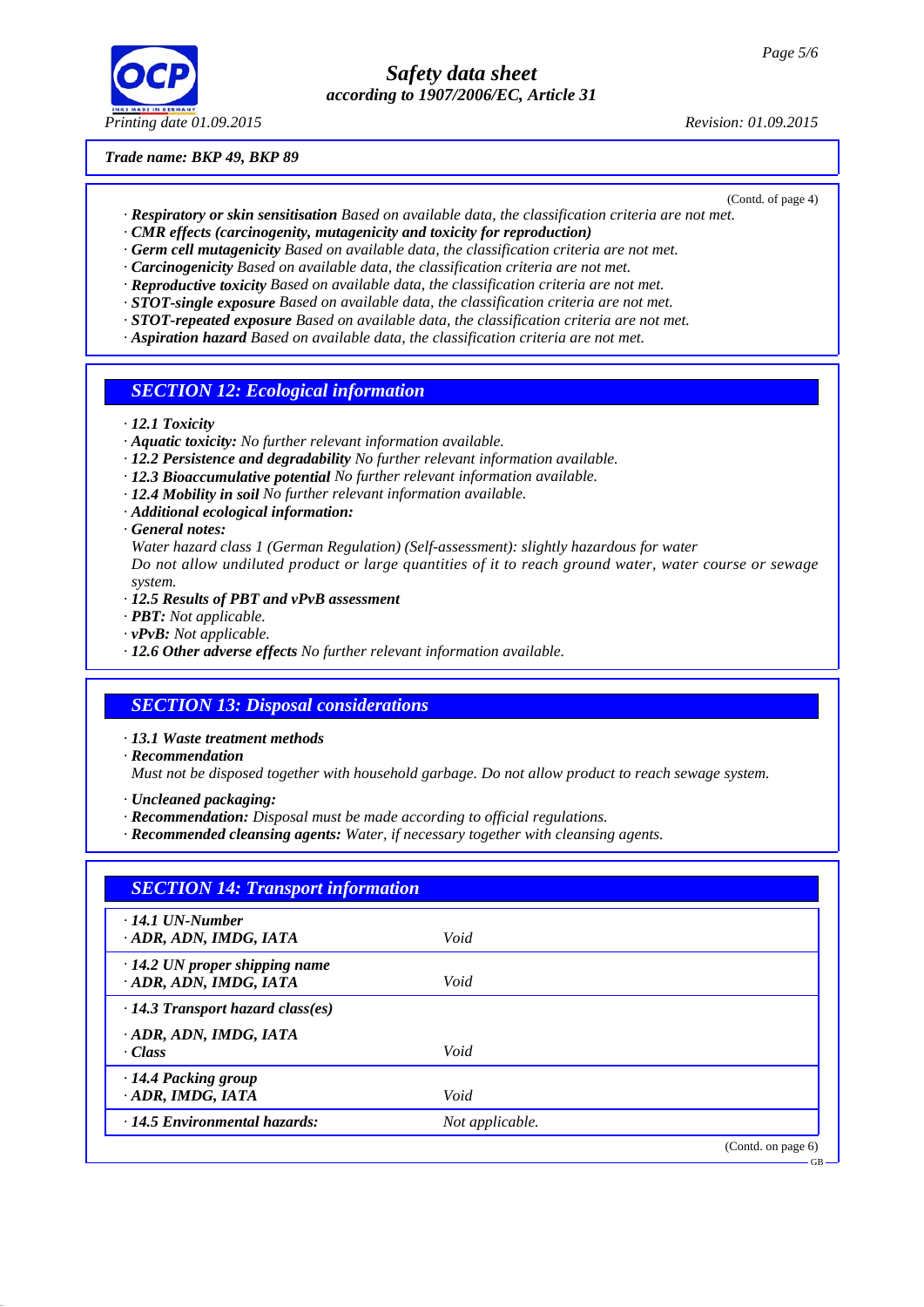

#### *Trade name: BKP 49, BKP 89*

(Contd. of page 4)

- *· Respiratory or skin sensitisation Based on available data, the classification criteria are not met. · CMR effects (carcinogenity, mutagenicity and toxicity for reproduction)*
- *· Germ cell mutagenicity Based on available data, the classification criteria are not met.*
- *· Carcinogenicity Based on available data, the classification criteria are not met.*
- *· Reproductive toxicity Based on available data, the classification criteria are not met.*
- *· STOT-single exposure Based on available data, the classification criteria are not met.*
- *· STOT-repeated exposure Based on available data, the classification criteria are not met.*
- *· Aspiration hazard Based on available data, the classification criteria are not met.*
- *SECTION 12: Ecological information*
- *· 12.1 Toxicity*
- *· Aquatic toxicity: No further relevant information available.*
- *· 12.2 Persistence and degradability No further relevant information available.*
- *· 12.3 Bioaccumulative potential No further relevant information available.*
- *· 12.4 Mobility in soil No further relevant information available.*
- *· Additional ecological information:*
- *· General notes:*
- *Water hazard class 1 (German Regulation) (Self-assessment): slightly hazardous for water Do not allow undiluted product or large quantities of it to reach ground water, water course or sewage system.*
- *· 12.5 Results of PBT and vPvB assessment*
- *· PBT: Not applicable.*
- *· vPvB: Not applicable.*
- *· 12.6 Other adverse effects No further relevant information available.*

## *SECTION 13: Disposal considerations*

- *· 13.1 Waste treatment methods*
- *· Recommendation*

*Must not be disposed together with household garbage. Do not allow product to reach sewage system.*

- *· Uncleaned packaging:*
- *· Recommendation: Disposal must be made according to official regulations.*
- *· Recommended cleansing agents: Water, if necessary together with cleansing agents.*

| $\cdot$ 14.1 UN-Number                  |                 |                    |
|-----------------------------------------|-----------------|--------------------|
| ADR, ADN, IMDG, IATA                    | Void            |                    |
| $\cdot$ 14.2 UN proper shipping name    |                 |                    |
| · ADR, ADN, IMDG, IATA                  | Void            |                    |
| $\cdot$ 14.3 Transport hazard class(es) |                 |                    |
| ADR, ADN, IMDG, IATA                    |                 |                    |
| $\cdot$ Class                           | Void            |                    |
| $\cdot$ 14.4 Packing group              |                 |                    |
| · ADR, IMDG, IATA                       | Void            |                    |
| $\cdot$ 14.5 Environmental hazards:     | Not applicable. |                    |
|                                         |                 | (Contd. on page 6) |